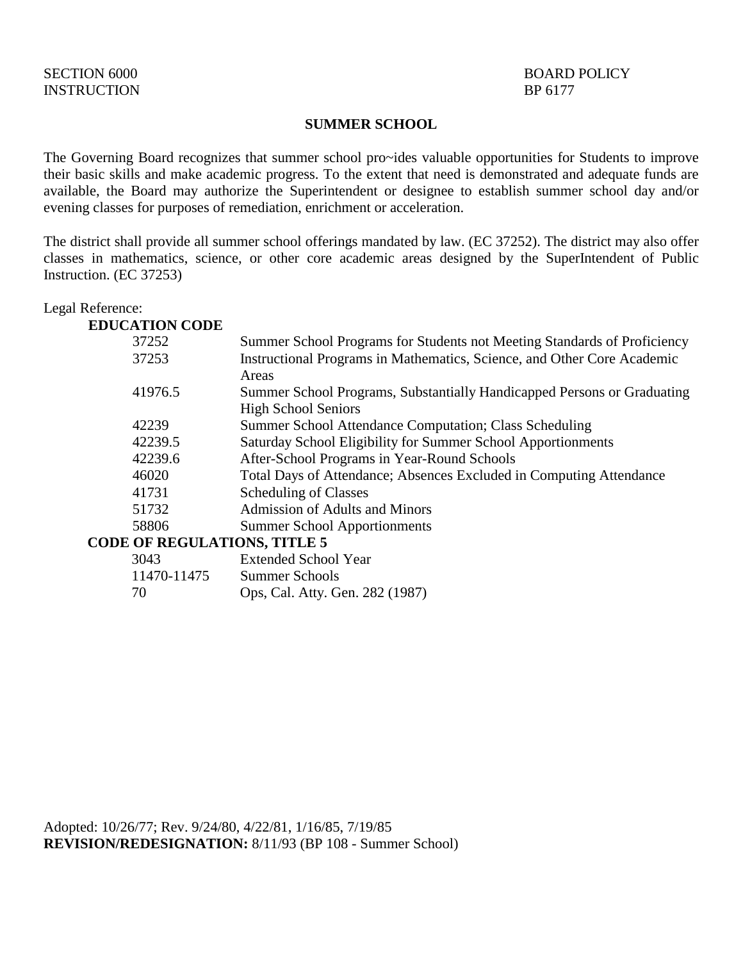#### **SUMMER SCHOOL**

The Governing Board recognizes that summer school pro~ides valuable opportunities for Students to improve their basic skills and make academic progress. To the extent that need is demonstrated and adequate funds are available, the Board may authorize the Superintendent or designee to establish summer school day and/or evening classes for purposes of remediation, enrichment or acceleration.

The district shall provide all summer school offerings mandated by law. (EC 37252). The district may also offer classes in mathematics, science, or other core academic areas designed by the SuperIntendent of Public Instruction. (EC 37253)

Legal Reference:

| <b>EDUCATION CODE</b>               |                                                                          |
|-------------------------------------|--------------------------------------------------------------------------|
| 37252                               | Summer School Programs for Students not Meeting Standards of Proficiency |
| 37253                               | Instructional Programs in Mathematics, Science, and Other Core Academic  |
|                                     | Areas                                                                    |
| 41976.5                             | Summer School Programs, Substantially Handicapped Persons or Graduating  |
|                                     | <b>High School Seniors</b>                                               |
| 42239                               | Summer School Attendance Computation; Class Scheduling                   |
| 42239.5                             | Saturday School Eligibility for Summer School Apportionments             |
| 42239.6                             | After-School Programs in Year-Round Schools                              |
| 46020                               | Total Days of Attendance; Absences Excluded in Computing Attendance      |
| 41731                               | <b>Scheduling of Classes</b>                                             |
| 51732                               | <b>Admission of Adults and Minors</b>                                    |
| 58806                               | <b>Summer School Apportionments</b>                                      |
| <b>CODE OF REGULATIONS, TITLE 5</b> |                                                                          |
| 3043                                | <b>Extended School Year</b>                                              |
| 11 <i>150</i> 11 <i>155</i>         |                                                                          |

| 11470-11475 | Summer Schools                  |
|-------------|---------------------------------|
| -70         | Ops, Cal. Atty. Gen. 282 (1987) |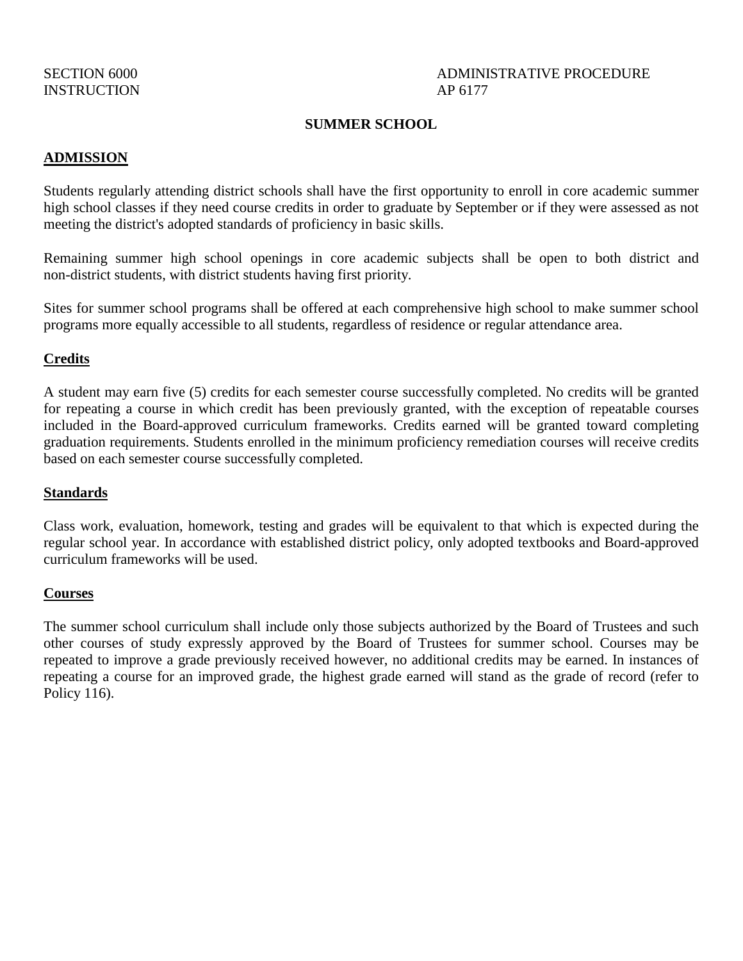# SECTION 6000 ADMINISTRATIVE PROCEDURE

#### **SUMMER SCHOOL**

#### **ADMISSION**

Students regularly attending district schools shall have the first opportunity to enroll in core academic summer high school classes if they need course credits in order to graduate by September or if they were assessed as not meeting the district's adopted standards of proficiency in basic skills.

Remaining summer high school openings in core academic subjects shall be open to both district and non-district students, with district students having first priority.

Sites for summer school programs shall be offered at each comprehensive high school to make summer school programs more equally accessible to all students, regardless of residence or regular attendance area.

#### **Credits**

A student may earn five (5) credits for each semester course successfully completed. No credits will be granted for repeating a course in which credit has been previously granted, with the exception of repeatable courses included in the Board-approved curriculum frameworks. Credits earned will be granted toward completing graduation requirements. Students enrolled in the minimum proficiency remediation courses will receive credits based on each semester course successfully completed.

#### **Standards**

Class work, evaluation, homework, testing and grades will be equivalent to that which is expected during the regular school year. In accordance with established district policy, only adopted textbooks and Board-approved curriculum frameworks will be used.

#### **Courses**

The summer school curriculum shall include only those subjects authorized by the Board of Trustees and such other courses of study expressly approved by the Board of Trustees for summer school. Courses may be repeated to improve a grade previously received however, no additional credits may be earned. In instances of repeating a course for an improved grade, the highest grade earned will stand as the grade of record (refer to Policy 116).